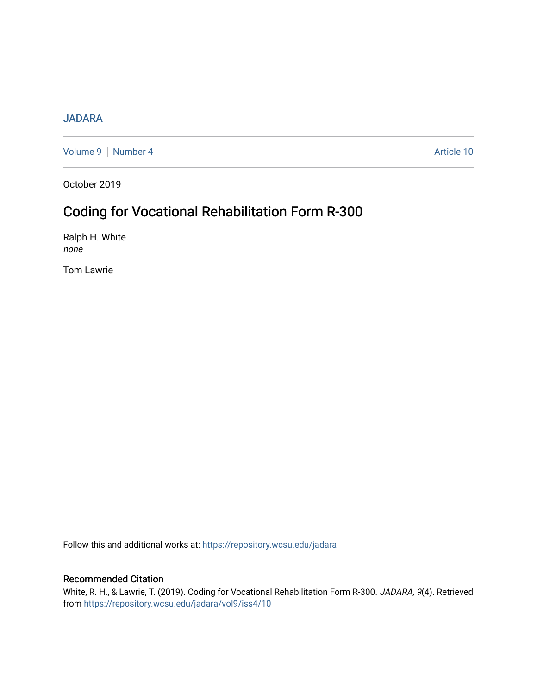## [JADARA](https://repository.wcsu.edu/jadara)

[Volume 9](https://repository.wcsu.edu/jadara/vol9) | [Number 4](https://repository.wcsu.edu/jadara/vol9/iss4) Article 10

October 2019

# Coding for Vocational Rehabilitation Form R-300

Ralph H. White none

Tom Lawrie

Follow this and additional works at: [https://repository.wcsu.edu/jadara](https://repository.wcsu.edu/jadara?utm_source=repository.wcsu.edu%2Fjadara%2Fvol9%2Fiss4%2F10&utm_medium=PDF&utm_campaign=PDFCoverPages)

## Recommended Citation

White, R. H., & Lawrie, T. (2019). Coding for Vocational Rehabilitation Form R-300. JADARA, 9(4). Retrieved from [https://repository.wcsu.edu/jadara/vol9/iss4/10](https://repository.wcsu.edu/jadara/vol9/iss4/10?utm_source=repository.wcsu.edu%2Fjadara%2Fvol9%2Fiss4%2F10&utm_medium=PDF&utm_campaign=PDFCoverPages)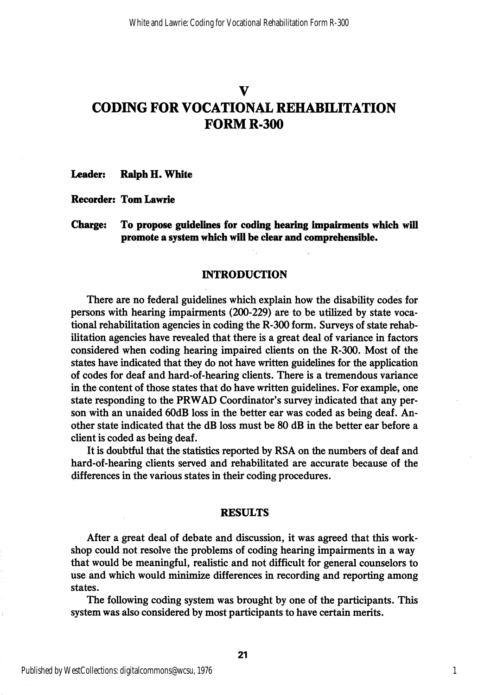## V

## CODING FOR VOCATIONAL REHABILITATION FORM R-300

### Leader: Ralph H. White

Recorder: TomLawrie

Charge: To propose guidelines for coding hearing impairments which will promote a system which will he clear and comprehensible.

### INTRODUCTION

There are no federal guidelines which explain how the disability codes for persons with hearing impairments (200-229) are to be utilized by state voca tional rehabilitation agencies in coding the R-300 form. Surveys of state rehab ilitation agencies have revealed that there is a great deal of variance in factors considered when coding hearing impaired clients on the R-300. Most of the states have indicated that they do not have written guidelines for the application of codes for deaf and hard-of-hearing clients. There is a tremendous variance in the content of those states that do have written guidelines. For example, one state responding to the PRWAD Coordinator's survey indicated that any per son with an unaided 60dB loss in the better ear was coded as being deaf. An other state indicated that the dB loss must be 80 dB in the better ear before a client is coded as being deaf.

It is doubtful that the statistics reported by RSA on the numbers of deaf and hard-of-hearing clients served and rehabilitated are accurate because of the differences in the various states in their coding procedures.

#### RESULTS

After a great deal of debate and discussion, it was agreed that this work shop could not resolve the problems of coding hearing impairments in a way that would be meaningful, realistic and not difficult for general counselors to use and which would minimize differences in recording and reporting among states.

The following coding system was brought by one of the participants. This system was also considered by most participants to have certain merits.

1